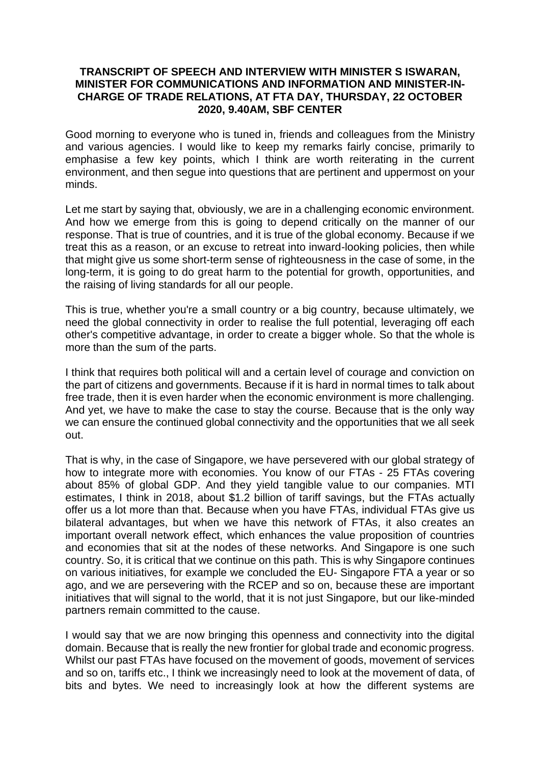## **TRANSCRIPT OF SPEECH AND INTERVIEW WITH MINISTER S ISWARAN, MINISTER FOR COMMUNICATIONS AND INFORMATION AND MINISTER-IN-CHARGE OF TRADE RELATIONS, AT FTA DAY, THURSDAY, 22 OCTOBER 2020, 9.40AM, SBF CENTER**

Good morning to everyone who is tuned in, friends and colleagues from the Ministry and various agencies. I would like to keep my remarks fairly concise, primarily to emphasise a few key points, which I think are worth reiterating in the current environment, and then segue into questions that are pertinent and uppermost on your minds.

Let me start by saying that, obviously, we are in a challenging economic environment. And how we emerge from this is going to depend critically on the manner of our response. That is true of countries, and it is true of the global economy. Because if we treat this as a reason, or an excuse to retreat into inward-looking policies, then while that might give us some short-term sense of righteousness in the case of some, in the long-term, it is going to do great harm to the potential for growth, opportunities, and the raising of living standards for all our people.

This is true, whether you're a small country or a big country, because ultimately, we need the global connectivity in order to realise the full potential, leveraging off each other's competitive advantage, in order to create a bigger whole. So that the whole is more than the sum of the parts.

I think that requires both political will and a certain level of courage and conviction on the part of citizens and governments. Because if it is hard in normal times to talk about free trade, then it is even harder when the economic environment is more challenging. And yet, we have to make the case to stay the course. Because that is the only way we can ensure the continued global connectivity and the opportunities that we all seek out.

That is why, in the case of Singapore, we have persevered with our global strategy of how to integrate more with economies. You know of our FTAs - 25 FTAs covering about 85% of global GDP. And they yield tangible value to our companies. MTI estimates, I think in 2018, about \$1.2 billion of tariff savings, but the FTAs actually offer us a lot more than that. Because when you have FTAs, individual FTAs give us bilateral advantages, but when we have this network of FTAs, it also creates an important overall network effect, which enhances the value proposition of countries and economies that sit at the nodes of these networks. And Singapore is one such country. So, it is critical that we continue on this path. This is why Singapore continues on various initiatives, for example we concluded the EU- Singapore FTA a year or so ago, and we are persevering with the RCEP and so on, because these are important initiatives that will signal to the world, that it is not just Singapore, but our like-minded partners remain committed to the cause.

I would say that we are now bringing this openness and connectivity into the digital domain. Because that is really the new frontier for global trade and economic progress. Whilst our past FTAs have focused on the movement of goods, movement of services and so on, tariffs etc., I think we increasingly need to look at the movement of data, of bits and bytes. We need to increasingly look at how the different systems are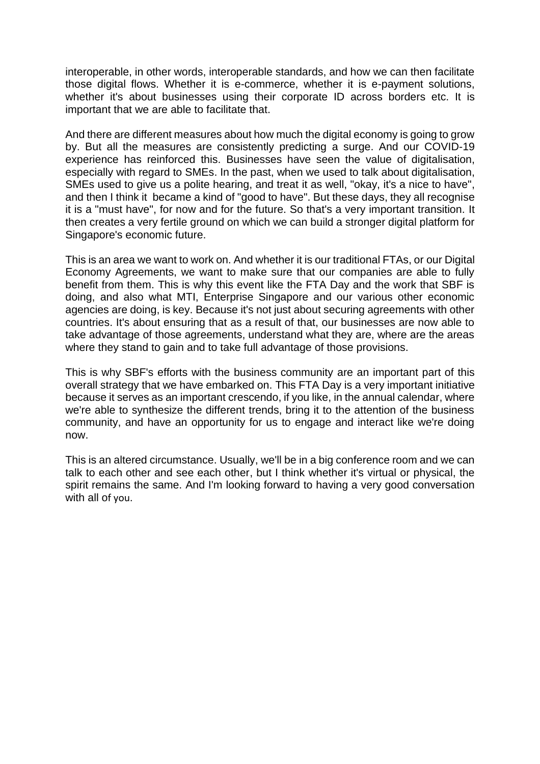interoperable, in other words, interoperable standards, and how we can then facilitate those digital flows. Whether it is e-commerce, whether it is e-payment solutions, whether it's about businesses using their corporate ID across borders etc. It is important that we are able to facilitate that.

And there are different measures about how much the digital economy is going to grow by. But all the measures are consistently predicting a surge. And our COVID-19 experience has reinforced this. Businesses have seen the value of digitalisation, especially with regard to SMEs. In the past, when we used to talk about digitalisation, SMEs used to give us a polite hearing, and treat it as well, "okay, it's a nice to have", and then I think it became a kind of "good to have". But these days, they all recognise it is a "must have", for now and for the future. So that's a very important transition. It then creates a very fertile ground on which we can build a stronger digital platform for Singapore's economic future.

This is an area we want to work on. And whether it is our traditional FTAs, or our Digital Economy Agreements, we want to make sure that our companies are able to fully benefit from them. This is why this event like the FTA Day and the work that SBF is doing, and also what MTI, Enterprise Singapore and our various other economic agencies are doing, is key. Because it's not just about securing agreements with other countries. It's about ensuring that as a result of that, our businesses are now able to take advantage of those agreements, understand what they are, where are the areas where they stand to gain and to take full advantage of those provisions.

This is why SBF's efforts with the business community are an important part of this overall strategy that we have embarked on. This FTA Day is a very important initiative because it serves as an important crescendo, if you like, in the annual calendar, where we're able to synthesize the different trends, bring it to the attention of the business community, and have an opportunity for us to engage and interact like we're doing now.

This is an altered circumstance. Usually, we'll be in a big conference room and we can talk to each other and see each other, but I think whether it's virtual or physical, the spirit remains the same. And I'm looking forward to having a very good conversation with all of you.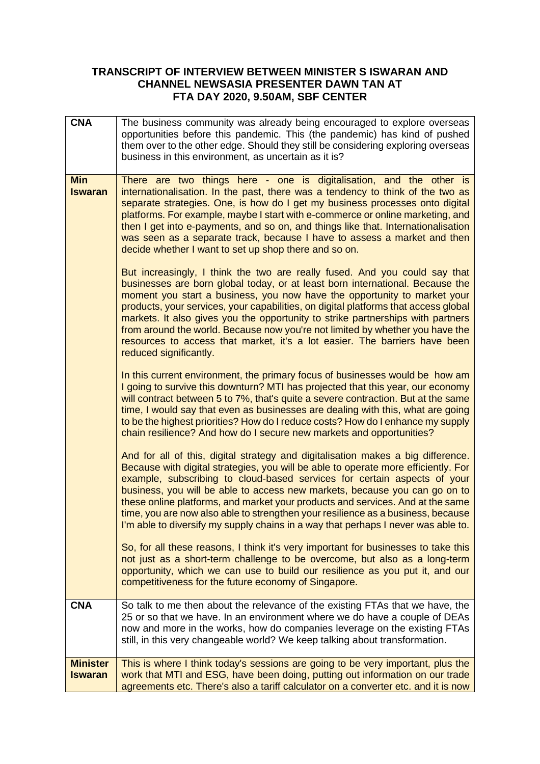## **TRANSCRIPT OF INTERVIEW BETWEEN MINISTER S ISWARAN AND CHANNEL NEWSASIA PRESENTER DAWN TAN AT FTA DAY 2020, 9.50AM, SBF CENTER**

| <b>CNA</b>                        | The business community was already being encouraged to explore overseas<br>opportunities before this pandemic. This (the pandemic) has kind of pushed<br>them over to the other edge. Should they still be considering exploring overseas<br>business in this environment, as uncertain as it is?                                                                                                                                                                                                                                                                                                          |
|-----------------------------------|------------------------------------------------------------------------------------------------------------------------------------------------------------------------------------------------------------------------------------------------------------------------------------------------------------------------------------------------------------------------------------------------------------------------------------------------------------------------------------------------------------------------------------------------------------------------------------------------------------|
| <b>Min</b><br><b>Iswaran</b>      | There are two things here - one is digitalisation, and the other is<br>internationalisation. In the past, there was a tendency to think of the two as<br>separate strategies. One, is how do I get my business processes onto digital<br>platforms. For example, maybe I start with e-commerce or online marketing, and<br>then I get into e-payments, and so on, and things like that. Internationalisation<br>was seen as a separate track, because I have to assess a market and then<br>decide whether I want to set up shop there and so on.                                                          |
|                                   | But increasingly, I think the two are really fused. And you could say that<br>businesses are born global today, or at least born international. Because the<br>moment you start a business, you now have the opportunity to market your<br>products, your services, your capabilities, on digital platforms that access global<br>markets. It also gives you the opportunity to strike partnerships with partners<br>from around the world. Because now you're not limited by whether you have the<br>resources to access that market, it's a lot easier. The barriers have been<br>reduced significantly. |
|                                   | In this current environment, the primary focus of businesses would be how am<br>I going to survive this downturn? MTI has projected that this year, our economy<br>will contract between 5 to 7%, that's quite a severe contraction. But at the same<br>time, I would say that even as businesses are dealing with this, what are going<br>to be the highest priorities? How do I reduce costs? How do I enhance my supply<br>chain resilience? And how do I secure new markets and opportunities?                                                                                                         |
|                                   | And for all of this, digital strategy and digitalisation makes a big difference.<br>Because with digital strategies, you will be able to operate more efficiently. For<br>example, subscribing to cloud-based services for certain aspects of your<br>business, you will be able to access new markets, because you can go on to<br>these online platforms, and market your products and services. And at the same<br>time, you are now also able to strengthen your resilience as a business, because<br>I'm able to diversify my supply chains in a way that perhaps I never was able to.                |
|                                   | So, for all these reasons, I think it's very important for businesses to take this<br>not just as a short-term challenge to be overcome, but also as a long-term<br>opportunity, which we can use to build our resilience as you put it, and our<br>competitiveness for the future economy of Singapore.                                                                                                                                                                                                                                                                                                   |
| <b>CNA</b>                        | So talk to me then about the relevance of the existing FTAs that we have, the<br>25 or so that we have. In an environment where we do have a couple of DEAs<br>now and more in the works, how do companies leverage on the existing FTAs<br>still, in this very changeable world? We keep talking about transformation.                                                                                                                                                                                                                                                                                    |
| <b>Minister</b><br><b>Iswaran</b> | This is where I think today's sessions are going to be very important, plus the<br>work that MTI and ESG, have been doing, putting out information on our trade<br>agreements etc. There's also a tariff calculator on a converter etc. and it is now                                                                                                                                                                                                                                                                                                                                                      |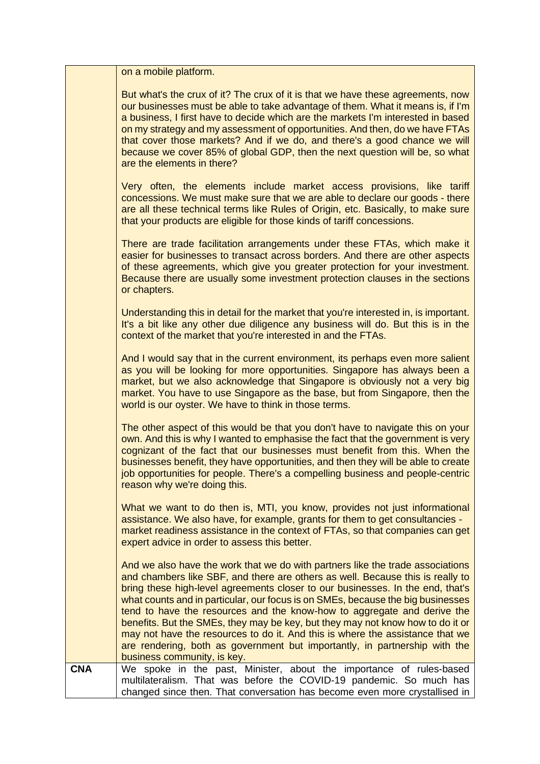|            | on a mobile platform.                                                                                                                                                                                                                                                                                                                                                                                                                                                                                                                                                                                                                                                                            |
|------------|--------------------------------------------------------------------------------------------------------------------------------------------------------------------------------------------------------------------------------------------------------------------------------------------------------------------------------------------------------------------------------------------------------------------------------------------------------------------------------------------------------------------------------------------------------------------------------------------------------------------------------------------------------------------------------------------------|
|            | But what's the crux of it? The crux of it is that we have these agreements, now<br>our businesses must be able to take advantage of them. What it means is, if I'm<br>a business, I first have to decide which are the markets I'm interested in based<br>on my strategy and my assessment of opportunities. And then, do we have FTAs<br>that cover those markets? And if we do, and there's a good chance we will<br>because we cover 85% of global GDP, then the next question will be, so what<br>are the elements in there?                                                                                                                                                                 |
|            | Very often, the elements include market access provisions, like tariff<br>concessions. We must make sure that we are able to declare our goods - there<br>are all these technical terms like Rules of Origin, etc. Basically, to make sure<br>that your products are eligible for those kinds of tariff concessions.                                                                                                                                                                                                                                                                                                                                                                             |
|            | There are trade facilitation arrangements under these FTAs, which make it<br>easier for businesses to transact across borders. And there are other aspects<br>of these agreements, which give you greater protection for your investment.<br>Because there are usually some investment protection clauses in the sections<br>or chapters.                                                                                                                                                                                                                                                                                                                                                        |
|            | Understanding this in detail for the market that you're interested in, is important.<br>It's a bit like any other due diligence any business will do. But this is in the<br>context of the market that you're interested in and the FTAs.                                                                                                                                                                                                                                                                                                                                                                                                                                                        |
|            | And I would say that in the current environment, its perhaps even more salient<br>as you will be looking for more opportunities. Singapore has always been a<br>market, but we also acknowledge that Singapore is obviously not a very big<br>market. You have to use Singapore as the base, but from Singapore, then the<br>world is our oyster. We have to think in those terms.                                                                                                                                                                                                                                                                                                               |
|            | The other aspect of this would be that you don't have to navigate this on your<br>own. And this is why I wanted to emphasise the fact that the government is very<br>cognizant of the fact that our businesses must benefit from this. When the<br>businesses benefit, they have opportunities, and then they will be able to create<br>job opportunities for people. There's a compelling business and people-centric<br>reason why we're doing this.                                                                                                                                                                                                                                           |
|            | What we want to do then is, MTI, you know, provides not just informational<br>assistance. We also have, for example, grants for them to get consultancies -<br>market readiness assistance in the context of FTAs, so that companies can get<br>expert advice in order to assess this better.                                                                                                                                                                                                                                                                                                                                                                                                    |
|            | And we also have the work that we do with partners like the trade associations<br>and chambers like SBF, and there are others as well. Because this is really to<br>bring these high-level agreements closer to our businesses. In the end, that's<br>what counts and in particular, our focus is on SMEs, because the big businesses<br>tend to have the resources and the know-how to aggregate and derive the<br>benefits. But the SMEs, they may be key, but they may not know how to do it or<br>may not have the resources to do it. And this is where the assistance that we<br>are rendering, both as government but importantly, in partnership with the<br>business community, is key. |
| <b>CNA</b> | We spoke in the past, Minister, about the importance of rules-based<br>multilateralism. That was before the COVID-19 pandemic. So much has<br>changed since then. That conversation has become even more crystallised in                                                                                                                                                                                                                                                                                                                                                                                                                                                                         |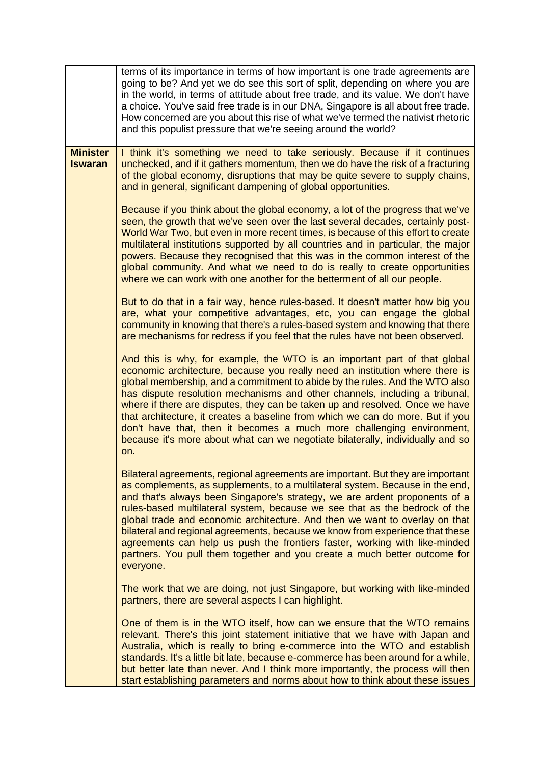|                                   | terms of its importance in terms of how important is one trade agreements are<br>going to be? And yet we do see this sort of split, depending on where you are<br>in the world, in terms of attitude about free trade, and its value. We don't have<br>a choice. You've said free trade is in our DNA, Singapore is all about free trade.<br>How concerned are you about this rise of what we've termed the nativist rhetoric<br>and this populist pressure that we're seeing around the world?                                                                                                                                                                      |
|-----------------------------------|----------------------------------------------------------------------------------------------------------------------------------------------------------------------------------------------------------------------------------------------------------------------------------------------------------------------------------------------------------------------------------------------------------------------------------------------------------------------------------------------------------------------------------------------------------------------------------------------------------------------------------------------------------------------|
| <b>Minister</b><br><b>Iswaran</b> | I think it's something we need to take seriously. Because if it continues<br>unchecked, and if it gathers momentum, then we do have the risk of a fracturing<br>of the global economy, disruptions that may be quite severe to supply chains,<br>and in general, significant dampening of global opportunities.                                                                                                                                                                                                                                                                                                                                                      |
|                                   | Because if you think about the global economy, a lot of the progress that we've<br>seen, the growth that we've seen over the last several decades, certainly post-<br>World War Two, but even in more recent times, is because of this effort to create<br>multilateral institutions supported by all countries and in particular, the major<br>powers. Because they recognised that this was in the common interest of the<br>global community. And what we need to do is really to create opportunities<br>where we can work with one another for the betterment of all our people.                                                                                |
|                                   | But to do that in a fair way, hence rules-based. It doesn't matter how big you<br>are, what your competitive advantages, etc, you can engage the global<br>community in knowing that there's a rules-based system and knowing that there<br>are mechanisms for redress if you feel that the rules have not been observed.                                                                                                                                                                                                                                                                                                                                            |
|                                   | And this is why, for example, the WTO is an important part of that global<br>economic architecture, because you really need an institution where there is<br>global membership, and a commitment to abide by the rules. And the WTO also<br>has dispute resolution mechanisms and other channels, including a tribunal,<br>where if there are disputes, they can be taken up and resolved. Once we have<br>that architecture, it creates a baseline from which we can do more. But if you<br>don't have that, then it becomes a much more challenging environment,<br>because it's more about what can we negotiate bilaterally, individually and so<br>on.          |
|                                   | Bilateral agreements, regional agreements are important. But they are important<br>as complements, as supplements, to a multilateral system. Because in the end,<br>and that's always been Singapore's strategy, we are ardent proponents of a<br>rules-based multilateral system, because we see that as the bedrock of the<br>global trade and economic architecture. And then we want to overlay on that<br>bilateral and regional agreements, because we know from experience that these<br>agreements can help us push the frontiers faster, working with like-minded<br>partners. You pull them together and you create a much better outcome for<br>everyone. |
|                                   | The work that we are doing, not just Singapore, but working with like-minded<br>partners, there are several aspects I can highlight.                                                                                                                                                                                                                                                                                                                                                                                                                                                                                                                                 |
|                                   | One of them is in the WTO itself, how can we ensure that the WTO remains<br>relevant. There's this joint statement initiative that we have with Japan and<br>Australia, which is really to bring e-commerce into the WTO and establish<br>standards. It's a little bit late, because e-commerce has been around for a while,<br>but better late than never. And I think more importantly, the process will then<br>start establishing parameters and norms about how to think about these issues                                                                                                                                                                     |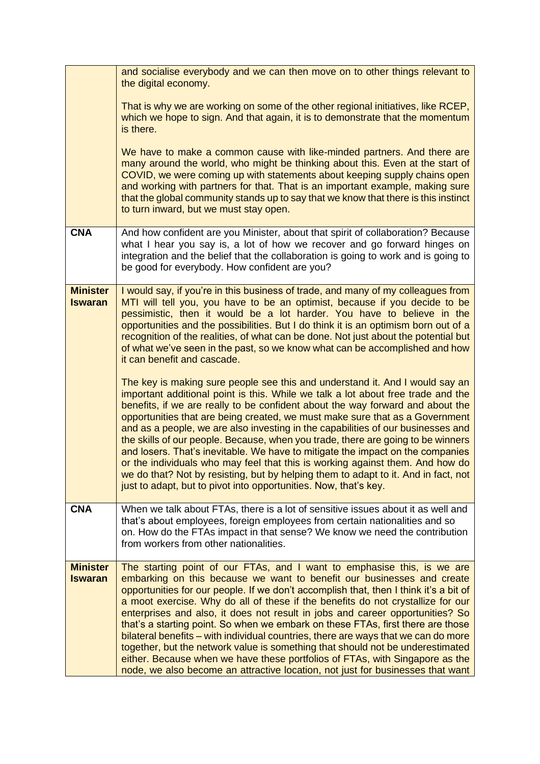|                                   | and socialise everybody and we can then move on to other things relevant to<br>the digital economy.                                                                                                                                                                                                                                                                                                                                                                                                                                                                                                                                                                                                                                                                                                                                         |
|-----------------------------------|---------------------------------------------------------------------------------------------------------------------------------------------------------------------------------------------------------------------------------------------------------------------------------------------------------------------------------------------------------------------------------------------------------------------------------------------------------------------------------------------------------------------------------------------------------------------------------------------------------------------------------------------------------------------------------------------------------------------------------------------------------------------------------------------------------------------------------------------|
|                                   | That is why we are working on some of the other regional initiatives, like RCEP,<br>which we hope to sign. And that again, it is to demonstrate that the momentum<br>is there.                                                                                                                                                                                                                                                                                                                                                                                                                                                                                                                                                                                                                                                              |
|                                   | We have to make a common cause with like-minded partners. And there are<br>many around the world, who might be thinking about this. Even at the start of<br>COVID, we were coming up with statements about keeping supply chains open<br>and working with partners for that. That is an important example, making sure<br>that the global community stands up to say that we know that there is this instinct<br>to turn inward, but we must stay open.                                                                                                                                                                                                                                                                                                                                                                                     |
| <b>CNA</b>                        | And how confident are you Minister, about that spirit of collaboration? Because<br>what I hear you say is, a lot of how we recover and go forward hinges on<br>integration and the belief that the collaboration is going to work and is going to<br>be good for everybody. How confident are you?                                                                                                                                                                                                                                                                                                                                                                                                                                                                                                                                          |
| <b>Minister</b><br><b>Iswaran</b> | I would say, if you're in this business of trade, and many of my colleagues from<br>MTI will tell you, you have to be an optimist, because if you decide to be<br>pessimistic, then it would be a lot harder. You have to believe in the<br>opportunities and the possibilities. But I do think it is an optimism born out of a<br>recognition of the realities, of what can be done. Not just about the potential but<br>of what we've seen in the past, so we know what can be accomplished and how<br>it can benefit and cascade.                                                                                                                                                                                                                                                                                                        |
|                                   | The key is making sure people see this and understand it. And I would say an<br>important additional point is this. While we talk a lot about free trade and the<br>benefits, if we are really to be confident about the way forward and about the<br>opportunities that are being created, we must make sure that as a Government<br>and as a people, we are also investing in the capabilities of our businesses and<br>the skills of our people. Because, when you trade, there are going to be winners<br>and losers. That's inevitable. We have to mitigate the impact on the companies<br>or the individuals who may feel that this is working against them. And how do<br>we do that? Not by resisting, but by helping them to adapt to it. And in fact, not<br>just to adapt, but to pivot into opportunities. Now, that's key.     |
| <b>CNA</b>                        | When we talk about FTAs, there is a lot of sensitive issues about it as well and<br>that's about employees, foreign employees from certain nationalities and so<br>on. How do the FTAs impact in that sense? We know we need the contribution<br>from workers from other nationalities.                                                                                                                                                                                                                                                                                                                                                                                                                                                                                                                                                     |
| <b>Minister</b><br><b>Iswaran</b> | The starting point of our FTAs, and I want to emphasise this, is we are<br>embarking on this because we want to benefit our businesses and create<br>opportunities for our people. If we don't accomplish that, then I think it's a bit of<br>a moot exercise. Why do all of these if the benefits do not crystallize for our<br>enterprises and also, it does not result in jobs and career opportunities? So<br>that's a starting point. So when we embark on these FTAs, first there are those<br>bilateral benefits - with individual countries, there are ways that we can do more<br>together, but the network value is something that should not be underestimated<br>either. Because when we have these portfolios of FTAs, with Singapore as the<br>node, we also become an attractive location, not just for businesses that want |